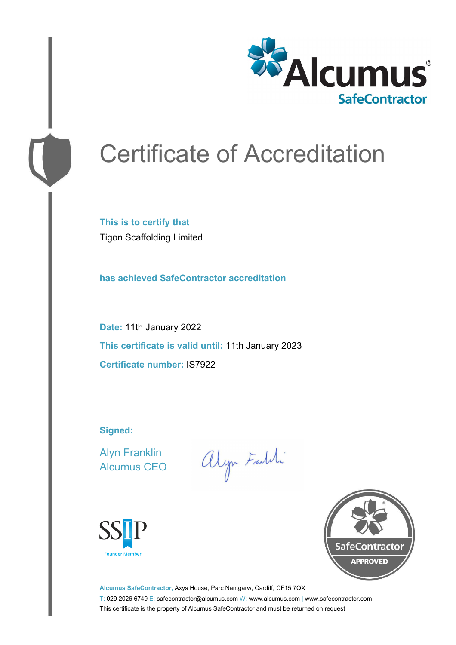

# Certificate of Accreditation

**This is to certify that** Tigon Scaffolding Limited

**has achieved SafeContractor accreditation**

**Date:** 11th January 2022 **This certificate is valid until:** 11th January 2023 **Certificate number:** IS7922

**Signed:**

Alyn Franklin Alcumus CEO

alyn Faith





**Alcumus SafeContractor,** Axys House, Parc Nantgarw, Cardiff, CF15 7QX T: 029 2026 6749 E: safecontractor@alcumus.com W: www.alcumus.com | www.safecontractor.com This certificate is the property of Alcumus SafeContractor and must be returned on request